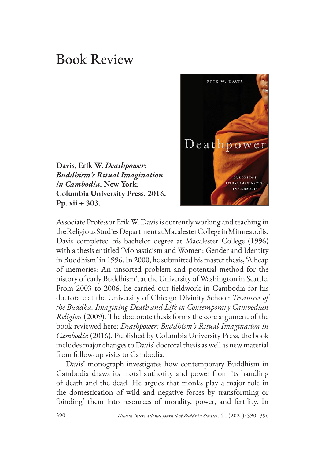## Book Review

**Davis, Erik W.** *Deathpower: Buddhism's Ritual Imagination in Cambodia***. New York: Columbia University Press, 2016. Pp. xii + 303.** 



Associate Professor Erik W. Davis is currently working and teaching in the Religious Studies Department at Macalester College in Minneapolis. Davis completed his bachelor degree at Macalester College (1996) with a thesis entitled 'Monasticism and Women: Gender and Identity in Buddhism' in 1996. In 2000, he submitted his master thesis, 'A heap of memories: An unsorted problem and potential method for the history of early Buddhism', at the University of Washington in Seattle. From 2003 to 2006, he carried out fieldwork in Cambodia for his doctorate at the University of Chicago Divinity School: *Treasures of the Buddha: Imagining Death and Life in Contemporary Cambodian Religion* (2009). The doctorate thesis forms the core argument of the book reviewed here: *Deathpower: Buddhism's Ritual Imagination in Cambodia* (2016). Published by Columbia University Press, the book includes major changes to Davis' doctoral thesis as well as new material from follow-up visits to Cambodia.

Davis' monograph investigates how contemporary Buddhism in Cambodia draws its moral authority and power from its handling of death and the dead. He argues that monks play a major role in the domestication of wild and negative forces by transforming or 'binding' them into resources of morality, power, and fertility. In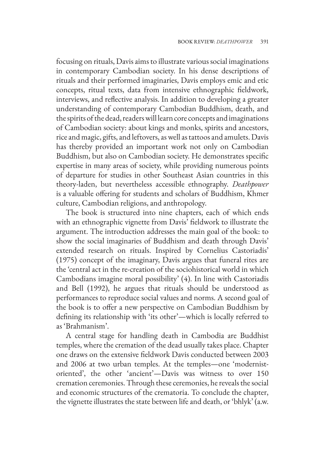focusing on rituals, Davis aims to illustrate various social imaginations in contemporary Cambodian society. In his dense descriptions of rituals and their performed imaginaries, Davis employs emic and etic concepts, ritual texts, data from intensive ethnographic fieldwork, interviews, and reflective analysis. In addition to developing a greater understanding of contemporary Cambodian Buddhism, death, and the spirits of the dead, readers will learn core concepts and imaginations of Cambodian society: about kings and monks, spirits and ancestors, rice and magic, gifts, and leftovers, as well as tattoos and amulets. Davis has thereby provided an important work not only on Cambodian Buddhism, but also on Cambodian society. He demonstrates specific expertise in many areas of society, while providing numerous points of departure for studies in other Southeast Asian countries in this theory-laden, but nevertheless accessible ethnography. *Deathpower* is a valuable offering for students and scholars of Buddhism, Khmer culture, Cambodian religions, and anthropology.

The book is structured into nine chapters, each of which ends with an ethnographic vignette from Davis' fieldwork to illustrate the argument. The introduction addresses the main goal of the book: to show the social imaginaries of Buddhism and death through Davis' extended research on rituals. Inspired by Cornelius Castoriadis' (1975) concept of the imaginary, Davis argues that funeral rites are the 'central act in the re-creation of the sociohistorical world in which Cambodians imagine moral possibility' (4). In line with Castoriadis and Bell (1992), he argues that rituals should be understood as performances to reproduce social values and norms. A second goal of the book is to offer a new perspective on Cambodian Buddhism by defining its relationship with 'its other'—which is locally referred to as 'Brahmanism'.

A central stage for handling death in Cambodia are Buddhist temples, where the cremation of the dead usually takes place. Chapter one draws on the extensive fieldwork Davis conducted between 2003 and 2006 at two urban temples. At the temples—one 'modernistoriented', the other 'ancient'—Davis was witness to over 150 cremation ceremonies. Through these ceremonies, he reveals the social and economic structures of the crematoria. To conclude the chapter, the vignette illustrates the state between life and death, or 'bhlyk' (a.w.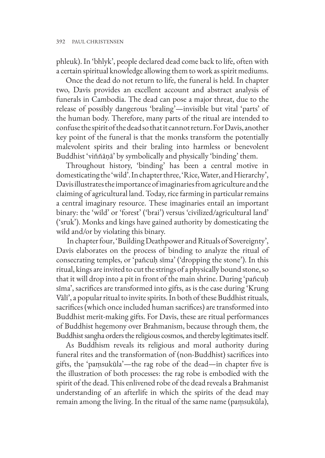phleuk). In 'bhlyk', people declared dead come back to life, often with a certain spiritual knowledge allowing them to work as spirit mediums.

Once the dead do not return to life, the funeral is held. In chapter two, Davis provides an excellent account and abstract analysis of funerals in Cambodia. The dead can pose a major threat, due to the release of possibly dangerous 'braling'—invisible but vital 'parts' of the human body. Therefore, many parts of the ritual are intended to confuse the spirit of the dead so that it cannot return. For Davis, another key point of the funeral is that the monks transform the potentially malevolent spirits and their braling into harmless or benevolent Buddhist 'viññāṇā' by symbolically and physically 'binding' them.

Throughout history, 'binding' has been a central motive in domesticating the 'wild'. In chapter three, 'Rice, Water, and Hierarchy', Davis illustrates the importance of imaginaries from agriculture and the claiming of agricultural land. Today, rice farming in particular remains a central imaginary resource. These imaginaries entail an important binary: the 'wild' or 'forest' ('brai') versus 'civilized/agricultural land' ('sruk'). Monks and kings have gained authority by domesticating the wild and/or by violating this binary.

 In chapter four, 'Building Deathpower and Rituals of Sovereignty', Davis elaborates on the process of binding to analyze the ritual of consecrating temples, or 'pañcuḥ sīma' ('dropping the stone'). In this ritual, kings are invited to cut the strings of a physically bound stone, so that it will drop into a pit in front of the main shrine. During 'pañcuḥ sīma', sacrifices are transformed into gifts, as is the case during 'Krung Vālī', a popular ritual to invite spirits. In both of these Buddhist rituals, sacrifices (which once included human sacrifices) are transformed into Buddhist merit-making gifts. For Davis, these are ritual performances of Buddhist hegemony over Brahmanism, because through them, the Buddhist sangha orders the religious cosmos, and thereby legitimates itself.

As Buddhism reveals its religious and moral authority during funeral rites and the transformation of (non-Buddhist) sacrifices into gifts, the 'paṃsukūla'—the rag robe of the dead—in chapter five is the illustration of both processes: the rag robe is embodied with the spirit of the dead. This enlivened robe of the dead reveals a Brahmanist understanding of an afterlife in which the spirits of the dead may remain among the living. In the ritual of the same name (paṃsukūla),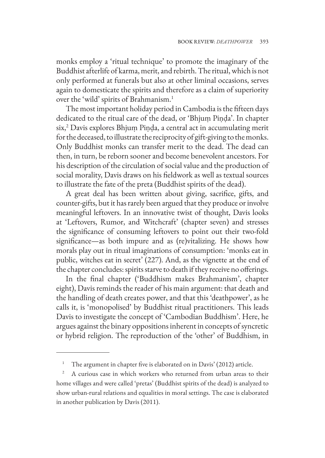monks employ a 'ritual technique' to promote the imaginary of the Buddhist afterlife of karma, merit, and rebirth. The ritual, which is not only performed at funerals but also at other liminal occasions, serves again to domesticate the spirits and therefore as a claim of superiority over the 'wild' spirits of Brahmanism.1

The most important holiday period in Cambodia is the fifteen days dedicated to the ritual care of the dead, or 'Bhjuṃ Piṇḍa'. In chapter six,2 Davis explores Bhjuṃ Piṇḍa, a central act in accumulating merit for the deceased, to illustrate the reciprocity of gift-giving to the monks. Only Buddhist monks can transfer merit to the dead. The dead can then, in turn, be reborn sooner and become benevolent ancestors. For his description of the circulation of social value and the production of social morality, Davis draws on his fieldwork as well as textual sources to illustrate the fate of the preta (Buddhist spirits of the dead).

A great deal has been written about giving, sacrifice, gifts, and counter-gifts, but it has rarely been argued that they produce or involve meaningful leftovers. In an innovative twist of thought, Davis looks at 'Leftovers, Rumor, and Witchcraft' (chapter seven) and stresses the significance of consuming leftovers to point out their two-fold significance—as both impure and as (re)vitalizing. He shows how morals play out in ritual imaginations of consumption: 'monks eat in public, witches eat in secret' (227). And, as the vignette at the end of the chapter concludes: spirits starve to death if they receive no offerings.

In the final chapter ('Buddhism makes Brahmanism', chapter eight), Davis reminds the reader of his main argument: that death and the handling of death creates power, and that this 'deathpower', as he calls it, is 'monopolised' by Buddhist ritual practitioners. This leads Davis to investigate the concept of 'Cambodian Buddhism'. Here, he argues against the binary oppositions inherent in concepts of syncretic or hybrid religion. The reproduction of the 'other' of Buddhism, in

The argument in chapter five is elaborated on in Davis' (2012) article.

<sup>2</sup> A curious case in which workers who returned from urban areas to their home villages and were called 'pretas' (Buddhist spirits of the dead) is analyzed to show urban-rural relations and equalities in moral settings. The case is elaborated in another publication by Davis (2011).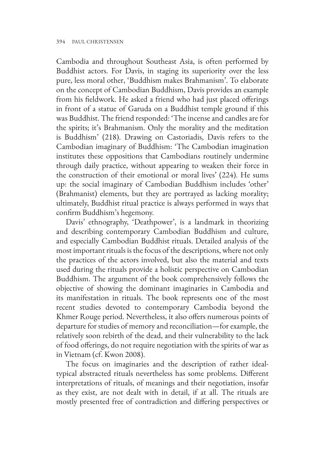Cambodia and throughout Southeast Asia, is often performed by Buddhist actors. For Davis, in staging its superiority over the less pure, less moral other, 'Buddhism makes Brahmanism'. To elaborate on the concept of Cambodian Buddhism, Davis provides an example from his fieldwork. He asked a friend who had just placed offerings in front of a statue of Garuda on a Buddhist temple ground if this was Buddhist. The friend responded: 'The incense and candles are for the spirits; it's Brahmanism. Only the morality and the meditation is Buddhism' (218). Drawing on Castoriadis, Davis refers to the Cambodian imaginary of Buddhism: 'The Cambodian imagination institutes these oppositions that Cambodians routinely undermine through daily practice, without appearing to weaken their force in the construction of their emotional or moral lives' (224). He sums up: the social imaginary of Cambodian Buddhism includes 'other' (Brahmanist) elements, but they are portrayed as lacking morality; ultimately, Buddhist ritual practice is always performed in ways that confirm Buddhism's hegemony.

Davis' ethnography, 'Deathpower', is a landmark in theorizing and describing contemporary Cambodian Buddhism and culture, and especially Cambodian Buddhist rituals. Detailed analysis of the most important rituals is the focus of the descriptions, where not only the practices of the actors involved, but also the material and texts used during the rituals provide a holistic perspective on Cambodian Buddhism. The argument of the book comprehensively follows the objective of showing the dominant imaginaries in Cambodia and its manifestation in rituals. The book represents one of the most recent studies devoted to contemporary Cambodia beyond the Khmer Rouge period. Nevertheless, it also offers numerous points of departure for studies of memory and reconciliation—for example, the relatively soon rebirth of the dead, and their vulnerability to the lack of food offerings, do not require negotiation with the spirits of war as in Vietnam (cf. Kwon 2008).

The focus on imaginaries and the description of rather idealtypical abstracted rituals nevertheless has some problems. Different interpretations of rituals, of meanings and their negotiation, insofar as they exist, are not dealt with in detail, if at all. The rituals are mostly presented free of contradiction and differing perspectives or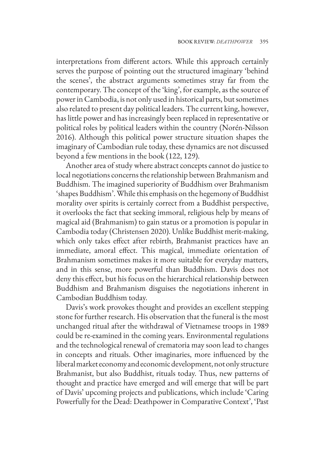interpretations from different actors. While this approach certainly serves the purpose of pointing out the structured imaginary 'behind the scenes', the abstract arguments sometimes stray far from the contemporary. The concept of the 'king', for example, as the source of power in Cambodia, is not only used in historical parts, but sometimes also related to present day political leaders. The current king, however, has little power and has increasingly been replaced in representative or political roles by political leaders within the country (Norén-Nilsson 2016). Although this political power structure situation shapes the imaginary of Cambodian rule today, these dynamics are not discussed beyond a few mentions in the book (122, 129).

Another area of study where abstract concepts cannot do justice to local negotiations concerns the relationship between Brahmanism and Buddhism. The imagined superiority of Buddhism over Brahmanism 'shapes Buddhism'. While this emphasis on the hegemony of Buddhist morality over spirits is certainly correct from a Buddhist perspective, it overlooks the fact that seeking immoral, religious help by means of magical aid (Brahmanism) to gain status or a promotion is popular in Cambodia today (Christensen 2020). Unlike Buddhist merit-making, which only takes effect after rebirth, Brahmanist practices have an immediate, amoral effect. This magical, immediate orientation of Brahmanism sometimes makes it more suitable for everyday matters, and in this sense, more powerful than Buddhism. Davis does not deny this effect, but his focus on the hierarchical relationship between Buddhism and Brahmanism disguises the negotiations inherent in Cambodian Buddhism today.

Davis's work provokes thought and provides an excellent stepping stone for further research. His observation that the funeral is the most unchanged ritual after the withdrawal of Vietnamese troops in 1989 could be re-examined in the coming years. Environmental regulations and the technological renewal of crematoria may soon lead to changes in concepts and rituals. Other imaginaries, more influenced by the liberal market economy and economic development, not only structure Brahmanist, but also Buddhist, rituals today. Thus, new patterns of thought and practice have emerged and will emerge that will be part of Davis' upcoming projects and publications, which include 'Caring Powerfully for the Dead: Deathpower in Comparative Context', 'Past